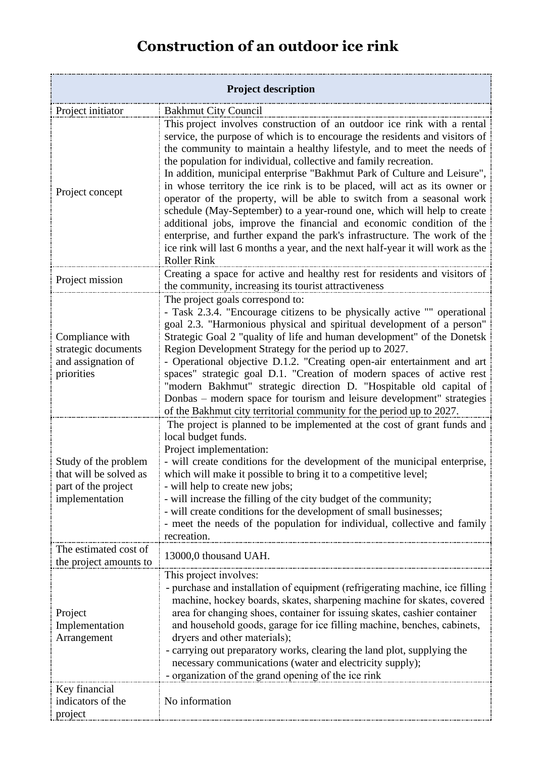## **Construction of an outdoor ice rink**

| <b>Project description</b>                                                              |                                                                                                                                                                                                                                                                                                                                                                                                                                                                                                                                                                                                                                                                                                                                                                                                                                                                                 |
|-----------------------------------------------------------------------------------------|---------------------------------------------------------------------------------------------------------------------------------------------------------------------------------------------------------------------------------------------------------------------------------------------------------------------------------------------------------------------------------------------------------------------------------------------------------------------------------------------------------------------------------------------------------------------------------------------------------------------------------------------------------------------------------------------------------------------------------------------------------------------------------------------------------------------------------------------------------------------------------|
| Project initiator                                                                       | <b>Bakhmut City Council</b>                                                                                                                                                                                                                                                                                                                                                                                                                                                                                                                                                                                                                                                                                                                                                                                                                                                     |
| Project concept                                                                         | This project involves construction of an outdoor ice rink with a rental<br>service, the purpose of which is to encourage the residents and visitors of<br>the community to maintain a healthy lifestyle, and to meet the needs of<br>the population for individual, collective and family recreation.<br>In addition, municipal enterprise "Bakhmut Park of Culture and Leisure",<br>in whose territory the ice rink is to be placed, will act as its owner or<br>operator of the property, will be able to switch from a seasonal work<br>schedule (May-September) to a year-round one, which will help to create<br>additional jobs, improve the financial and economic condition of the<br>enterprise, and further expand the park's infrastructure. The work of the<br>ice rink will last 6 months a year, and the next half-year it will work as the<br><b>Roller Rink</b> |
| Project mission                                                                         | Creating a space for active and healthy rest for residents and visitors of<br>the community, increasing its tourist attractiveness                                                                                                                                                                                                                                                                                                                                                                                                                                                                                                                                                                                                                                                                                                                                              |
| Compliance with<br>strategic documents<br>and assignation of<br>priorities              | The project goals correspond to:<br>- Task 2.3.4. "Encourage citizens to be physically active "" operational<br>goal 2.3. "Harmonious physical and spiritual development of a person"<br>Strategic Goal 2 "quality of life and human development" of the Donetsk<br>Region Development Strategy for the period up to 2027.<br>- Operational objective D.1.2. "Creating open-air entertainment and art<br>spaces" strategic goal D.1. "Creation of modern spaces of active rest<br>"modern Bakhmut" strategic direction D. "Hospitable old capital of<br>Donbas - modern space for tourism and leisure development" strategies<br>of the Bakhmut city territorial community for the period up to 2027.                                                                                                                                                                           |
| Study of the problem<br>that will be solved as<br>part of the project<br>implementation | The project is planned to be implemented at the cost of grant funds and<br>local budget funds.<br>Project implementation:<br>- will create conditions for the development of the municipal enterprise,<br>which will make it possible to bring it to a competitive level;<br>- will help to create new jobs;<br>- will increase the filling of the city budget of the community;<br>- will create conditions for the development of small businesses;<br>- meet the needs of the population for individual, collective and family<br>recreation.                                                                                                                                                                                                                                                                                                                                |
| The estimated cost of<br>the project amounts to                                         | 13000,0 thousand UAH.                                                                                                                                                                                                                                                                                                                                                                                                                                                                                                                                                                                                                                                                                                                                                                                                                                                           |
| Project<br>Implementation<br>Arrangement                                                | This project involves:<br>- purchase and installation of equipment (refrigerating machine, ice filling<br>machine, hockey boards, skates, sharpening machine for skates, covered<br>area for changing shoes, container for issuing skates, cashier container<br>and household goods, garage for ice filling machine, benches, cabinets,<br>dryers and other materials);<br>- carrying out preparatory works, clearing the land plot, supplying the<br>necessary communications (water and electricity supply);<br>- organization of the grand opening of the ice rink                                                                                                                                                                                                                                                                                                           |
| Key financial<br>indicators of the<br>project                                           | No information                                                                                                                                                                                                                                                                                                                                                                                                                                                                                                                                                                                                                                                                                                                                                                                                                                                                  |